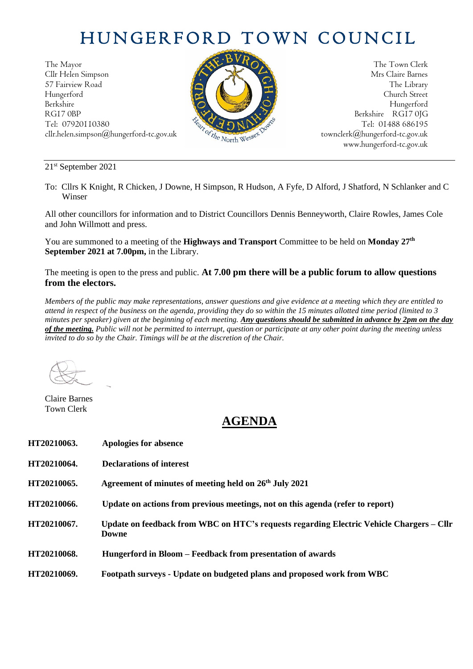## HUNGERFORD TOWN COUNCIL

The Mayor The Town Clerk Cllr Helen Simpson Mrs Claire Barnes 57 Fairview Road The Library (1999) and the Library (1999) and the Library (1999) and the Library (1999) and the Library (1999) and the Library (1999) and the Library (1999) and the Library (1999) and the Library (1999) an Hungerford Church Street Berkshire Hungerford RG17 0BP Berkshire RG17 0JG cllr.helen.simpson@hungerford-tc.gov.uk  ${}^{\circ} \mathcal{C}_{t}$   ${}^{\circ} \mathcal{C}_{t}$  [townclerk@hungerford-tc.gov.uk](mailto:townclerk@hungerford-tc.gov.uk)



Tel: 07920110380 Tel: 01488 686195<br>
cllr.helen.simpson@hungerford-tc.gov.uk<br>
www.hungerford-tc.gov.uk<br>
www.hungerford-tc.gov.uk<br>
www.hungerford-tc.gov.uk<br>
www.hungerford-tc.gov.uk www.hungerford-tc.gov.uk

21 st September 2021

To: Cllrs K Knight, R Chicken, J Downe, H Simpson, R Hudson, A Fyfe, D Alford, J Shatford, N Schlanker and C Winser

All other councillors for information and to District Councillors Dennis Benneyworth, Claire Rowles, James Cole and John Willmott and press.

You are summoned to a meeting of the **Highways and Transport** Committee to be held on **Monday 27<sup>th</sup> September 2021 at 7.00pm,** in the Library.

The meeting is open to the press and public. **At 7.00 pm there will be a public forum to allow questions from the electors.** 

*Members of the public may make representations, answer questions and give evidence at a meeting which they are entitled to attend in respect of the business on the agenda, providing they do so within the 15 minutes allotted time period (limited to 3 minutes per speaker) given at the beginning of each meeting. Any questions should be submitted in advance by 2pm on the day of the meeting. Public will not be permitted to interrupt, question or participate at any other point during the meeting unless invited to do so by the Chair. Timings will be at the discretion of the Chair.* 

Claire Barnes Town Clerk

## **AGENDA**

| HT20210063. | Apologies for absence                                                                                    |
|-------------|----------------------------------------------------------------------------------------------------------|
| HT20210064. | Declarations of interest                                                                                 |
| HT20210065. | Agreement of minutes of meeting held on 26 <sup>th</sup> July 2021                                       |
| HT20210066. | Update on actions from previous meetings, not on this agenda (refer to report)                           |
| HT20210067. | Update on feedback from WBC on HTC's requests regarding Electric Vehicle Chargers – Cllr<br><b>Downe</b> |
| HT20210068. | Hungerford in Bloom – Feedback from presentation of awards                                               |
| HT20210069. | Footpath surveys - Update on budgeted plans and proposed work from WBC                                   |